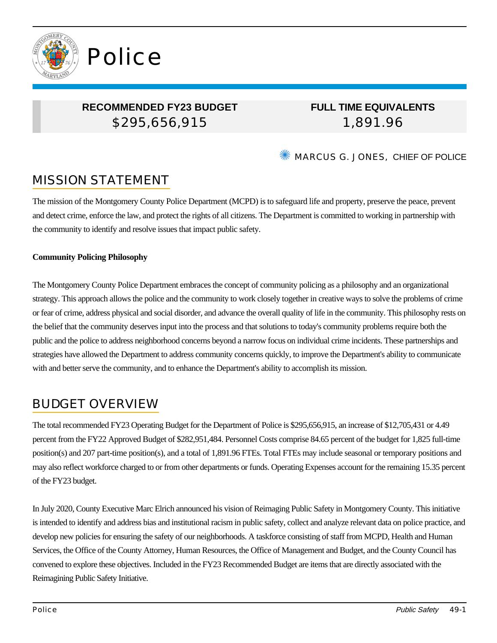

### **RECOMMENDED FY23 BUDGET** \$295,656,915

## **FULL TIME EQUIVALENTS** 1,891.96

**WARCUS G. JONES, CHIEF OF POLICE** 

# MISSION STATEMENT

The mission of the Montgomery County Police Department (MCPD) is to safeguard life and property, preserve the peace, prevent and detect crime, enforce the law, and protect the rights of all citizens. The Department is committed to working in partnership with the community to identify and resolve issues that impact public safety.

#### **Community Policing Philosophy**

The Montgomery County Police Department embraces the concept of community policing as a philosophy and an organizational strategy. This approach allows the police and the community to work closely together in creative ways to solve the problems of crime or fear of crime, address physical and social disorder, and advance the overall quality of life in the community. This philosophy rests on the belief that the community deserves input into the process and that solutions to today's community problems require both the public and the police to address neighborhood concerns beyond a narrow focus on individual crime incidents. These partnerships and strategies have allowed the Department to address community concerns quickly, to improve the Department's ability to communicate with and better serve the community, and to enhance the Department's ability to accomplish its mission.

## BUDGET OVERVIEW

The total recommended FY23 Operating Budget for the Department of Police is \$295,656,915, an increase of \$12,705,431 or 4.49 percent from the FY22 Approved Budget of \$282,951,484. Personnel Costs comprise 84.65 percent of the budget for 1,825 full-time position(s) and 207 part-time position(s), and a total of 1,891.96 FTEs. Total FTEs may include seasonal or temporary positions and may also reflect workforce charged to or from other departments or funds. Operating Expenses account for the remaining 15.35 percent of the FY23 budget.

In July 2020, County Executive Marc Elrich announced his vision of Reimaging Public Safety in Montgomery County. This initiative is intended to identify and address bias and institutional racism in public safety, collect and analyze relevant data on police practice, and develop new policies for ensuring the safety of our neighborhoods. A taskforce consisting of staff from MCPD, Health and Human Services, the Office of the County Attorney, Human Resources, the Office of Management and Budget, and the County Council has convened to explore these objectives. Included in the FY23 Recommended Budget are items that are directly associated with the Reimagining Public Safety Initiative.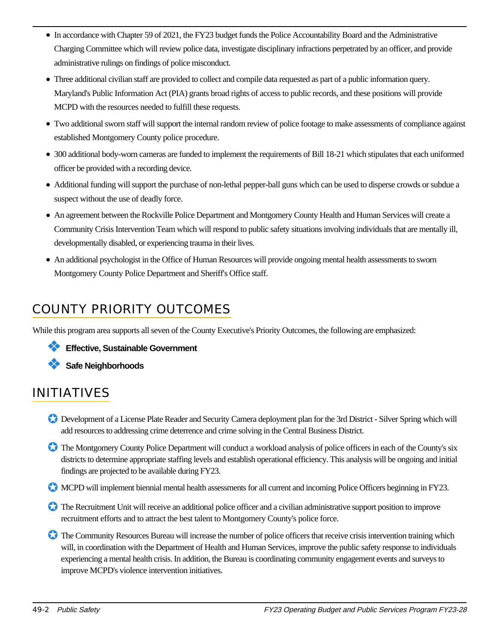- In accordance with Chapter 59 of 2021, the FY23 budget funds the Police Accountability Board and the Administrative Charging Committee which will review police data, investigate disciplinary infractions perpetrated by an officer, and provide administrative rulings on findings of police misconduct.
- Three additional civilian staff are provided to collect and compile data requested as part of a public information query. Maryland's Public Information Act (PIA) grants broad rights of access to public records, and these positions will provide MCPD with the resources needed to fulfill these requests.
- Two additional sworn staff will support the internal random review of police footage to make assessments of compliance against established Montgomery County police procedure.
- 300 additional body-worn cameras are funded to implement the requirements of Bill 18-21 which stipulates that each uniformed officer be provided with a recording device.
- Additional funding will support the purchase of non-lethal pepper-ball guns which can be used to disperse crowds or subdue a suspect without the use of deadly force.
- An agreement between the Rockville Police Department and Montgomery County Health and Human Services will create a Community Crisis Intervention Team which will respond to public safety situations involving individuals that are mentally ill, developmentally disabled, or experiencing trauma in their lives.
- An additional psychologist in the Office of Human Resources will provide ongoing mental health assessments to sworn Montgomery County Police Department and Sheriff's Office staff.

# COUNTY PRIORITY OUTCOMES

While this program area supports all seven of the County Executive's Priority Outcomes, the following are emphasized:

❖ **Effective, Sustainable Government**

#### ❖ **Safe Neighborhoods**

# INITIATIVES

- ✪ Development of a License Plate Reader and Security Camera deployment plan for the 3rd District Silver Spring which will add resources to addressing crime deterrence and crime solving in the Central Business District.
- ✪ The Montgomery County Police Department will conduct a workload analysis of police officers in each of the County's six districts to determine appropriate staffing levels and establish operational efficiency. This analysis will be ongoing and initial findings are projected to be available during FY23.
- ✪ MCPD will implement biennial mental health assessments for all current and incoming Police Officers beginning in FY23.
- ✪ The Recruitment Unit will receive an additional police officer and a civilian administrative support position to improve recruitment efforts and to attract the best talent to Montgomery County's police force.
- ✪ The Community Resources Bureau will increase the number of police officers that receive crisis intervention training which will, in coordination with the Department of Health and Human Services, improve the public safety response to individuals experiencing a mental health crisis. In addition, the Bureau is coordinating community engagement events and surveys to improve MCPD's violence intervention initiatives.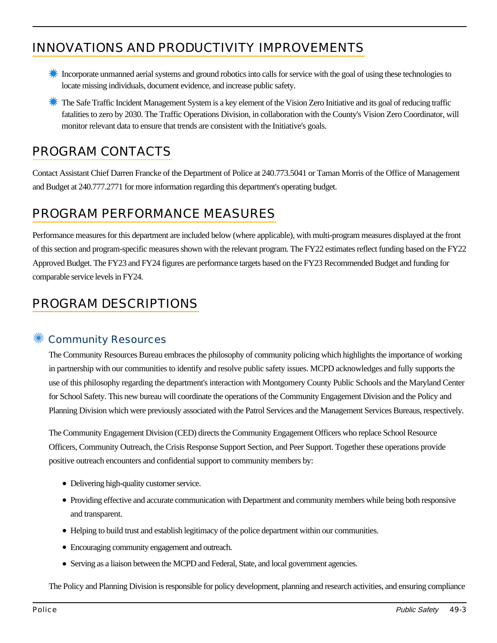# INNOVATIONS AND PRODUCTIVITY IMPROVEMENTS

- **K** Incorporate unmanned aerial systems and ground robotics into calls for service with the goal of using these technologies to locate missing individuals, document evidence, and increase public safety.
- **<sup>\*\*\*</sup>** The Safe Traffic Incident Management System is a key element of the Vision Zero Initiative and its goal of reducing traffic fatalities to zero by 2030. The Traffic Operations Division, in collaboration with the County's Vision Zero Coordinator, will monitor relevant data to ensure that trends are consistent with the Initiative's goals.

## PROGRAM CONTACTS

Contact Assistant Chief Darren Francke of the Department of Police at 240.773.5041 or Taman Morris of the Office of Management and Budget at 240.777.2771 for more information regarding this department's operating budget.

## PROGRAM PERFORMANCE MEASURES

Performance measures for this department are included below (where applicable), with multi-program measures displayed at the front of this section and program-specific measures shown with the relevant program. The FY22 estimates reflect funding based on the FY22 Approved Budget. The FY23 and FY24 figures are performance targets based on the FY23 Recommended Budget and funding for comparable service levels in FY24.

## PROGRAM DESCRIPTIONS

#### **Community Resources**

The Community Resources Bureau embraces the philosophy of community policing which highlights the importance of working in partnership with our communities to identify and resolve public safety issues. MCPD acknowledges and fully supports the use of this philosophy regarding the department's interaction with Montgomery County Public Schools and the Maryland Center for School Safety. This new bureau will coordinate the operations of the Community Engagement Division and the Policy and Planning Division which were previously associated with the Patrol Services and the Management Services Bureaus, respectively.

The Community Engagement Division (CED) directs the Community Engagement Officers who replace School Resource Officers, Community Outreach, the Crisis Response Support Section, and Peer Support. Together these operations provide positive outreach encounters and confidential support to community members by:

- Delivering high-quality customer service.
- Providing effective and accurate communication with Department and community members while being both responsive and transparent.
- Helping to build trust and establish legitimacy of the police department within our communities.
- Encouraging community engagement and outreach.
- Serving as a liaison between the MCPD and Federal, State, and local government agencies.

The Policy and Planning Division is responsible for policy development, planning and research activities, and ensuring compliance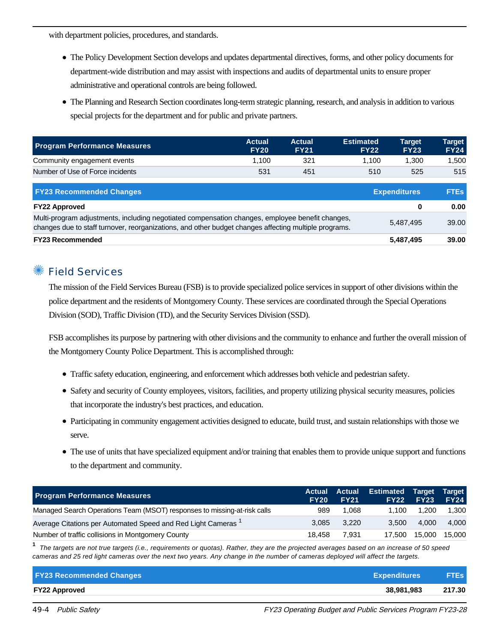with department policies, procedures, and standards.

- The Policy Development Section develops and updates departmental directives, forms, and other policy documents for department-wide distribution and may assist with inspections and audits of departmental units to ensure proper administrative and operational controls are being followed.
- The Planning and Research Section coordinates long-term strategic planning, research, and analysis in addition to various special projects for the department and for public and private partners.

| <b>Program Performance Measures</b>                                                                                                                                                                      | <b>Actual</b><br><b>FY20</b> | <b>Actual</b><br><b>FY21</b> | <b>Estimated</b><br><b>FY22</b> | <b>Target</b><br><b>FY23</b> | <b>Target</b><br><b>FY24</b> |
|----------------------------------------------------------------------------------------------------------------------------------------------------------------------------------------------------------|------------------------------|------------------------------|---------------------------------|------------------------------|------------------------------|
| Community engagement events                                                                                                                                                                              | 1.100                        | 321                          | 1.100                           | 1.300                        | 1,500                        |
| Number of Use of Force incidents                                                                                                                                                                         | 531                          | 451                          | 510                             | 525                          | 515                          |
| <b>FY23 Recommended Changes</b>                                                                                                                                                                          |                              |                              |                                 | <b>Expenditures</b>          | <b>FTEs</b>                  |
| <b>FY22 Approved</b>                                                                                                                                                                                     |                              |                              |                                 | 0                            | 0.00                         |
| Multi-program adjustments, including negotiated compensation changes, employee benefit changes,<br>changes due to staff turnover, reorganizations, and other budget changes affecting multiple programs. |                              | 5,487,495                    | 39.00                           |                              |                              |
| <b>FY23 Recommended</b>                                                                                                                                                                                  |                              |                              |                                 | 5,487,495                    | 39.00                        |

#### ✺ Field Services

The mission of the Field Services Bureau (FSB) is to provide specialized police services in support of other divisions within the police department and the residents of Montgomery County. These services are coordinated through the Special Operations Division (SOD), Traffic Division (TD), and the Security Services Division (SSD).

FSB accomplishes its purpose by partnering with other divisions and the community to enhance and further the overall mission of the Montgomery County Police Department. This is accomplished through:

- Traffic safety education, engineering, and enforcement which addresses both vehicle and pedestrian safety.
- Safety and security of County employees, visitors, facilities, and property utilizing physical security measures, policies that incorporate the industry's best practices, and education.
- Participating in community engagement activities designed to educate, build trust, and sustain relationships with those we serve.
- The use of units that have specialized equipment and/or training that enables them to provide unique support and functions to the department and community.

| <b>Program Performance Measures</b>                                      | <b>Actual</b><br><b>FY20</b> | <b>Actual</b><br><b>FY21</b> | <b>Estimated Target Target</b><br><b>FY22</b> | <b>FY23</b> | <b>FY24</b> |
|--------------------------------------------------------------------------|------------------------------|------------------------------|-----------------------------------------------|-------------|-------------|
| Managed Search Operations Team (MSOT) responses to missing-at-risk calls | 989                          | 1.068                        | 1.100                                         | 1.200       | 1,300       |
| Average Citations per Automated Speed and Red Light Cameras              | 3.085                        | 3.220                        | 3.500                                         | 4.000       | 4.000       |
| Number of traffic collisions in Montgomery County                        | 18.458                       | 7.931                        | 17.500                                        | 15.000      | 15.000      |

**1** The targets are not true targets (i.e., requirements or quotas). Rather, they are the projected averages based on an increase of 50 speed cameras and 25 red light cameras over the next two years. Any change in the number of cameras deployed will affect the targets.

| <b>FY23 Recommended Changes</b> | <b>Expenditures</b> | <b>FTEs</b> |
|---------------------------------|---------------------|-------------|
| <b>FY22 Approved</b>            | 38.981.983          | 217.30      |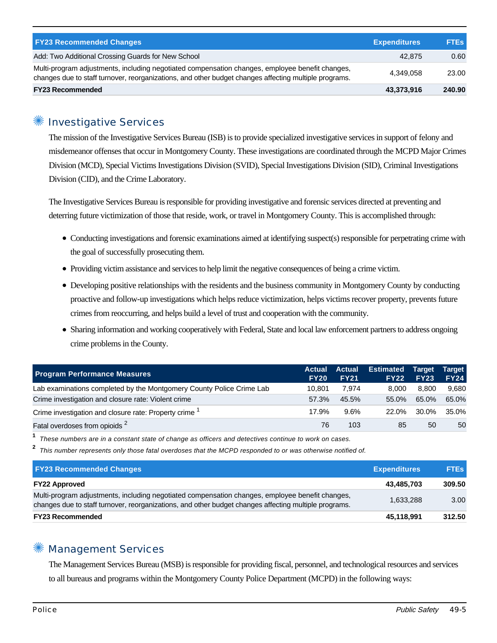| <b>FY23 Recommended Changes</b>                                                                                                                                                                          | <b>Expenditures</b> | <b>FTEs</b> |
|----------------------------------------------------------------------------------------------------------------------------------------------------------------------------------------------------------|---------------------|-------------|
| Add: Two Additional Crossing Guards for New School                                                                                                                                                       | 42.875              | 0.60        |
| Multi-program adjustments, including negotiated compensation changes, employee benefit changes,<br>changes due to staff turnover, reorganizations, and other budget changes affecting multiple programs. | 4.349.058           | 23.00       |
| <b>FY23 Recommended</b>                                                                                                                                                                                  | 43,373,916          | 240.90      |

### ✺ Investigative Services

The mission of the Investigative Services Bureau (ISB) is to provide specialized investigative services in support of felony and misdemeanor offenses that occur in Montgomery County. These investigations are coordinated through the MCPD Major Crimes Division (MCD), Special Victims Investigations Division (SVID), Special Investigations Division (SID), Criminal Investigations Division (CID), and the Crime Laboratory.

The Investigative Services Bureau is responsible for providing investigative and forensic services directed at preventing and deterring future victimization of those that reside, work, or travel in Montgomery County. This is accomplished through:

- Conducting investigations and forensic examinations aimed at identifying suspect(s) responsible for perpetrating crime with the goal of successfully prosecuting them.
- Providing victim assistance and services to help limit the negative consequences of being a crime victim.
- Developing positive relationships with the residents and the business community in Montgomery County by conducting proactive and follow-up investigations which helps reduce victimization, helps victims recover property, prevents future crimes from reoccurring, and helps build a level of trust and cooperation with the community.
- Sharing information and working cooperatively with Federal, State and local law enforcement partners to address ongoing crime problems in the County.

| <b>Program Performance Measures</b>                                  | <b>Actual</b><br><b>FY20</b> | <b>Actual</b><br><b>FY21</b> | <b>Estimated Target</b><br><b>FY22</b> | <b>FY23</b> | Target<br><b>FY24</b> |
|----------------------------------------------------------------------|------------------------------|------------------------------|----------------------------------------|-------------|-----------------------|
| Lab examinations completed by the Montgomery County Police Crime Lab | 10.801                       | 7.974                        | 8.000                                  | 8.800       | 9.680                 |
| Crime investigation and closure rate: Violent crime                  | 57.3%                        | 45.5%                        | 55.0%                                  | 65.0%       | 65.0%                 |
| Crime investigation and closure rate: Property crime <sup>1</sup>    | 17.9%                        | 9.6%                         | 22.0%                                  | 30.0%       | 35.0%                 |
| Fatal overdoses from opioids <sup>2</sup>                            | 76                           | 103                          | 85                                     | 50          | 50                    |

**1** These numbers are in a constant state of change as officers and detectives continue to work on cases.

**2** This number represents only those fatal overdoses that the MCPD responded to or was otherwise notified of.

| <b>FY23 Recommended Changes</b>                                                                                                                                                                          | <b>Expenditures</b> | <b>FTEs</b> |
|----------------------------------------------------------------------------------------------------------------------------------------------------------------------------------------------------------|---------------------|-------------|
| <b>FY22 Approved</b>                                                                                                                                                                                     | 43,485,703          | 309.50      |
| Multi-program adjustments, including negotiated compensation changes, employee benefit changes,<br>changes due to staff turnover, reorganizations, and other budget changes affecting multiple programs. | 1,633,288           | 3.00        |
| <b>FY23 Recommended</b>                                                                                                                                                                                  | 45,118,991          | 312.50      |

#### ✺ Management Services

The Management Services Bureau (MSB) is responsible for providing fiscal, personnel, and technological resources and services to all bureaus and programs within the Montgomery County Police Department (MCPD) in the following ways: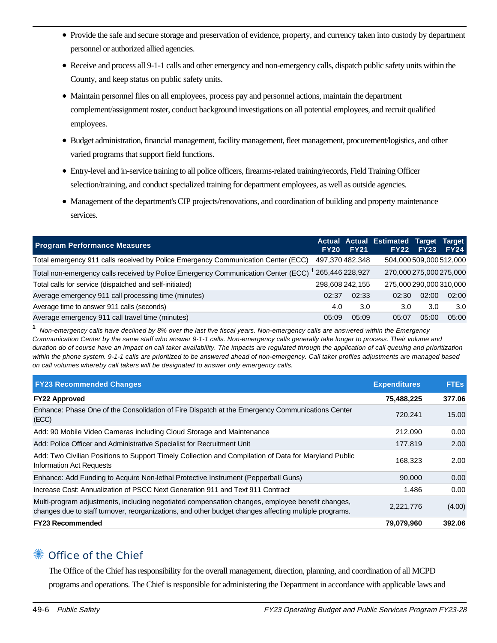- Provide the safe and secure storage and preservation of evidence, property, and currency taken into custody by department personnel or authorized allied agencies.
- Receive and process all 9-1-1 calls and other emergency and non-emergency calls, dispatch public safety units within the County, and keep status on public safety units.
- Maintain personnel files on all employees, process pay and personnel actions, maintain the department complement/assignment roster, conduct background investigations on all potential employees, and recruit qualified employees.
- Budget administration, financial management, facility management, fleet management, procurement/logistics, and other varied programs that support field functions.
- Entry-level and in-service training to all police officers, firearms-related training/records, Field Training Officer selection/training, and conduct specialized training for department employees, as well as outside agencies.
- Management of the department's CIP projects/renovations, and coordination of building and property maintenance services.

| <b>Program Performance Measures</b>                                               | <b>FY20</b>                  | <b>FY21</b> | <b>Actual Actual Estimated Target</b> | <b>FY22 FY23</b> | Target<br><b>FY24</b> |
|-----------------------------------------------------------------------------------|------------------------------|-------------|---------------------------------------|------------------|-----------------------|
| Total emergency 911 calls received by Police Emergency Communication Center (ECC) | 497.370 482.348              |             | 504,000 509,000 512,000               |                  |                       |
| Total non-emergency calls received by Police Emergency Communication Center (ECC) | <sup>1</sup> 265,446 228,927 |             | 270,000 275,000 275,000               |                  |                       |
| Total calls for service (dispatched and self-initiated)                           | 298.608 242.155              |             | 275,000 290,000 310,000               |                  |                       |
| Average emergency 911 call processing time (minutes)                              | 02:37                        | 02:33       | 02:30                                 | 02:00            | 02:00                 |
| Average time to answer 911 calls (seconds)                                        | 4.0                          | 3.0         | 3.0                                   | 3.0              | 3.0                   |
| Average emergency 911 call travel time (minutes)                                  | 05:09                        | 05:09       | 05:07                                 | 05:00            | 05:00                 |

**1** Non-emergency calls have declined by 8% over the last five fiscal years. Non-emergency calls are answered within the Emergency Communication Center by the same staff who answer 9-1-1 calls. Non-emergency calls generally take longer to process. Their volume and duration do of course have an impact on call taker availability. The impacts are regulated through the application of call queuing and prioritization within the phone system. 9-1-1 calls are prioritized to be answered ahead of non-emergency. Call taker profiles adjustments are managed based on call volumes whereby call takers will be designated to answer only emergency calls.

| <b>FY23 Recommended Changes</b>                                                                                                                                                                          | <b>Expenditures</b> | <b>FTEs</b> |
|----------------------------------------------------------------------------------------------------------------------------------------------------------------------------------------------------------|---------------------|-------------|
| <b>FY22 Approved</b>                                                                                                                                                                                     | 75,488,225          | 377.06      |
| Enhance: Phase One of the Consolidation of Fire Dispatch at the Emergency Communications Center<br>(ECC)                                                                                                 | 720.241             | 15.00       |
| Add: 90 Mobile Video Cameras including Cloud Storage and Maintenance                                                                                                                                     | 212,090             | 0.00        |
| Add: Police Officer and Administrative Specialist for Recruitment Unit                                                                                                                                   | 177,819             | 2.00        |
| Add: Two Civilian Positions to Support Timely Collection and Compilation of Data for Maryland Public<br>Information Act Requests                                                                         | 168.323             | 2.00        |
| Enhance: Add Funding to Acquire Non-lethal Protective Instrument (Pepperball Guns)                                                                                                                       | 90.000              | 0.00        |
| Increase Cost: Annualization of PSCC Next Generation 911 and Text 911 Contract                                                                                                                           | 1.486               | 0.00        |
| Multi-program adjustments, including negotiated compensation changes, employee benefit changes,<br>changes due to staff turnover, reorganizations, and other budget changes affecting multiple programs. | 2,221,776           | (4.00)      |
| <b>FY23 Recommended</b>                                                                                                                                                                                  | 79,079,960          | 392.06      |

### Office of the Chief

The Office of the Chief has responsibility for the overall management, direction, planning, and coordination of all MCPD programs and operations. The Chief is responsible for administering the Department in accordance with applicable laws and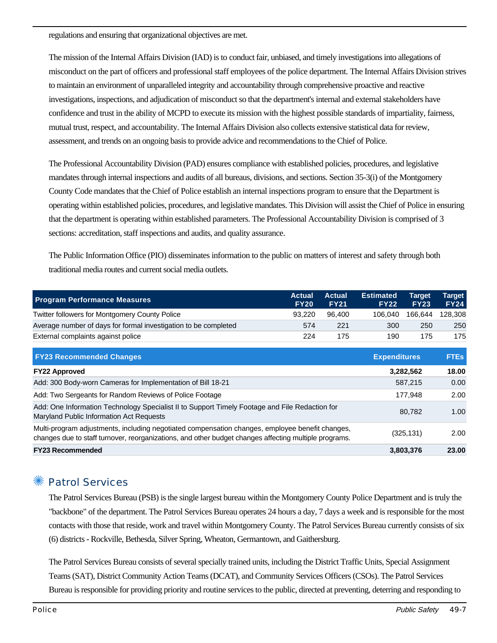regulations and ensuring that organizational objectives are met.

The mission of the Internal Affairs Division (IAD) is to conduct fair, unbiased, and timely investigations into allegations of misconduct on the part of officers and professional staff employees of the police department. The Internal Affairs Division strives to maintain an environment of unparalleled integrity and accountability through comprehensive proactive and reactive investigations, inspections, and adjudication of misconduct so that the department's internal and external stakeholders have confidence and trust in the ability of MCPD to execute its mission with the highest possible standards of impartiality, fairness, mutual trust, respect, and accountability. The Internal Affairs Division also collects extensive statistical data for review, assessment, and trends on an ongoing basis to provide advice and recommendations to the Chief of Police.

The Professional Accountability Division (PAD) ensures compliance with established policies, procedures, and legislative mandates through internal inspections and audits of all bureaus, divisions, and sections. Section 35-3(i) of the Montgomery County Code mandates that the Chief of Police establish an internal inspections program to ensure that the Department is operating within established policies, procedures, and legislative mandates. This Division will assist the Chief of Police in ensuring that the department is operating within established parameters. The Professional Accountability Division is comprised of 3 sections: accreditation, staff inspections and audits, and quality assurance.

The Public Information Office (PIO) disseminates information to the public on matters of interest and safety through both traditional media routes and current social media outlets.

| <b>Program Performance Measures</b>                                                                                                                                                                      | <b>Actual</b><br><b>FY20</b> | <b>Actual</b><br><b>FY21</b> | <b>Estimated</b><br><b>FY22</b> | <b>Target</b><br><b>FY23</b> | Target<br><b>FY24</b> |
|----------------------------------------------------------------------------------------------------------------------------------------------------------------------------------------------------------|------------------------------|------------------------------|---------------------------------|------------------------------|-----------------------|
| <b>Twitter followers for Montgomery County Police</b>                                                                                                                                                    | 93,220                       | 96,400                       | 106,040                         | 166.644                      | 128,308               |
| Average number of days for formal investigation to be completed                                                                                                                                          | 574                          | 221                          | 300                             | 250                          | 250                   |
| External complaints against police                                                                                                                                                                       | 224                          | 175                          | 190                             | 175                          | 175                   |
| <b>FY23 Recommended Changes</b>                                                                                                                                                                          |                              |                              | <b>Expenditures</b>             |                              | <b>FTEs</b>           |
| <b>FY22 Approved</b>                                                                                                                                                                                     |                              |                              |                                 | 3,282,562                    | 18.00                 |
| Add: 300 Body-worn Cameras for Implementation of Bill 18-21                                                                                                                                              |                              |                              |                                 | 587,215                      | 0.00                  |
| Add: Two Sergeants for Random Reviews of Police Footage                                                                                                                                                  |                              |                              |                                 | 177,948                      | 2.00                  |
| Add: One Information Technology Specialist II to Support Timely Footage and File Redaction for<br>Maryland Public Information Act Requests                                                               |                              |                              |                                 | 80.782                       | 1.00                  |
| Multi-program adjustments, including negotiated compensation changes, employee benefit changes,<br>changes due to staff turnover, reorganizations, and other budget changes affecting multiple programs. |                              |                              |                                 | (325, 131)                   | 2.00                  |
| <b>FY23 Recommended</b>                                                                                                                                                                                  |                              |                              |                                 | 3,803,376                    | 23.00                 |

#### ✺ Patrol Services

The Patrol Services Bureau (PSB) is the single largest bureau within the Montgomery County Police Department and is truly the "backbone" of the department. The Patrol Services Bureau operates 24 hours a day, 7 days a week and is responsible for the most contacts with those that reside, work and travel within Montgomery County. The Patrol Services Bureau currently consists of six (6) districts - Rockville, Bethesda, Silver Spring, Wheaton, Germantown, and Gaithersburg.

The Patrol Services Bureau consists of several specially trained units, including the District Traffic Units, Special Assignment Teams (SAT), District Community Action Teams (DCAT), and Community Services Officers (CSOs). The Patrol Services Bureau is responsible for providing priority and routine services to the public, directed at preventing, deterring and responding to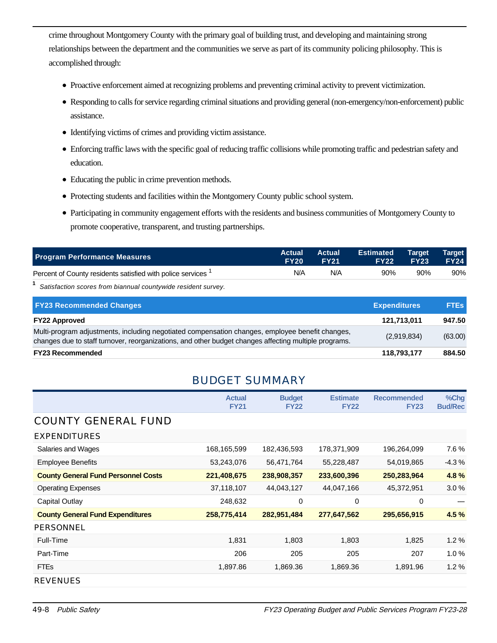crime throughout Montgomery County with the primary goal of building trust, and developing and maintaining strong relationships between the department and the communities we serve as part of its community policing philosophy. This is accomplished through:

- Proactive enforcement aimed at recognizing problems and preventing criminal activity to prevent victimization.
- Responding to calls for service regarding criminal situations and providing general (non-emergency/non-enforcement) public assistance.
- Identifying victims of crimes and providing victim assistance.
- Enforcing traffic laws with the specific goal of reducing traffic collisions while promoting traffic and pedestrian safety and education.
- Educating the public in crime prevention methods.
- Protecting students and facilities within the Montgomery County public school system.
- Participating in community engagement efforts with the residents and business communities of Montgomery County to promote cooperative, transparent, and trusting partnerships.

| <b>Program Performance Measures</b>                                     | <b>Actual</b><br><b>FY20</b> | <b>Actual</b><br><b>FY21</b> | <b>Estimated Target</b><br><b>FY22</b> | <b>FY23</b> | <b>Target</b><br><b>FY24</b> |
|-------------------------------------------------------------------------|------------------------------|------------------------------|----------------------------------------|-------------|------------------------------|
| Percent of County residents satisfied with police services <sup>1</sup> | N/A                          | N/A                          | 90%                                    | 90%         | 90%                          |

**1** Satisfaction scores from biannual countywide resident survey.

| <b>FY23 Recommended Changes</b>                                                                                                                                                                          | <b>Expenditures</b> | <b>FTEs</b> |
|----------------------------------------------------------------------------------------------------------------------------------------------------------------------------------------------------------|---------------------|-------------|
| <b>FY22 Approved</b>                                                                                                                                                                                     | 121,713,011         | 947.50      |
| Multi-program adjustments, including negotiated compensation changes, employee benefit changes,<br>changes due to staff turnover, reorganizations, and other budget changes affecting multiple programs. | (2,919,834)         | (63.00)     |
| <b>FY23 Recommended</b>                                                                                                                                                                                  | 118,793,177         | 884.50      |

### BUDGET SUMMARY

|                                            | <b>Actual</b><br><b>FY21</b> | <b>Budget</b><br><b>FY22</b> | <b>Estimate</b><br><b>FY22</b> | <b>Recommended</b><br><b>FY23</b> | %Chg<br><b>Bud/Rec</b> |
|--------------------------------------------|------------------------------|------------------------------|--------------------------------|-----------------------------------|------------------------|
| <b>COUNTY GENERAL FUND</b>                 |                              |                              |                                |                                   |                        |
| <b>EXPENDITURES</b>                        |                              |                              |                                |                                   |                        |
| Salaries and Wages                         | 168,165,599                  | 182,436,593                  | 178,371,909                    | 196,264,099                       | 7.6%                   |
| <b>Employee Benefits</b>                   | 53,243,076                   | 56,471,764                   | 55,228,487                     | 54,019,865                        | $-4.3%$                |
| <b>County General Fund Personnel Costs</b> | 221,408,675                  | 238,908,357                  | 233,600,396                    | 250,283,964                       | 4.8%                   |
| <b>Operating Expenses</b>                  | 37,118,107                   | 44,043,127                   | 44,047,166                     | 45,372,951                        | 3.0%                   |
| Capital Outlay                             | 248,632                      | 0                            | 0                              | 0                                 |                        |
| <b>County General Fund Expenditures</b>    | 258,775,414                  | 282,951,484                  | 277,647,562                    | 295,656,915                       | 4.5 %                  |
| <b>PERSONNEL</b>                           |                              |                              |                                |                                   |                        |
| Full-Time                                  | 1,831                        | 1,803                        | 1,803                          | 1,825                             | 1.2%                   |
| Part-Time                                  | 206                          | 205                          | 205                            | 207                               | 1.0%                   |
| <b>FTEs</b>                                | 1,897.86                     | 1,869.36                     | 1,869.36                       | 1,891.96                          | 1.2%                   |
| <b>REVENUES</b>                            |                              |                              |                                |                                   |                        |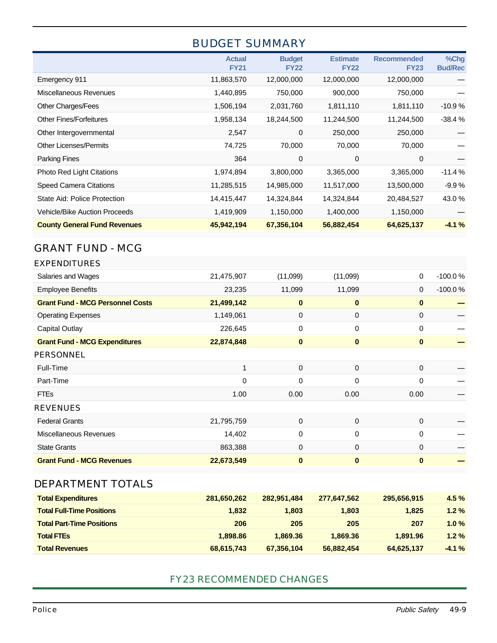### BUDGET SUMMARY

|                                      | <b>Actual</b><br><b>FY21</b> | <b>Budget</b><br><b>FY22</b> | <b>Estimate</b><br><b>FY22</b> | <b>Recommended</b><br><b>FY23</b> | %Chg<br><b>Bud/Rec</b> |
|--------------------------------------|------------------------------|------------------------------|--------------------------------|-----------------------------------|------------------------|
| Emergency 911                        | 11,863,570                   | 12,000,000                   | 12,000,000                     | 12,000,000                        |                        |
| Miscellaneous Revenues               | 1,440,895                    | 750,000                      | 900,000                        | 750,000                           |                        |
| <b>Other Charges/Fees</b>            | 1,506,194                    | 2,031,760                    | 1,811,110                      | 1,811,110                         | $-10.9%$               |
| <b>Other Fines/Forfeitures</b>       | 1,958,134                    | 18,244,500                   | 11,244,500                     | 11,244,500                        | $-38.4%$               |
| Other Intergovernmental              | 2,547                        | 0                            | 250,000                        | 250,000                           |                        |
| <b>Other Licenses/Permits</b>        | 74,725                       | 70,000                       | 70,000                         | 70,000                            |                        |
| <b>Parking Fines</b>                 | 364                          | 0                            | 0                              | 0                                 |                        |
| <b>Photo Red Light Citations</b>     | 1,974,894                    | 3,800,000                    | 3,365,000                      | 3,365,000                         | $-11.4%$               |
| <b>Speed Camera Citations</b>        | 11,285,515                   | 14,985,000                   | 11,517,000                     | 13,500,000                        | $-9.9%$                |
| State Aid: Police Protection         | 14,415,447                   | 14,324,844                   | 14,324,844                     | 20,484,527                        | 43.0 %                 |
| <b>Vehicle/Bike Auction Proceeds</b> | 1,419,909                    | 1,150,000                    | 1,400,000                      | 1,150,000                         |                        |
| <b>County General Fund Revenues</b>  | 45,942,194                   | 67,356,104                   | 56,882,454                     | 64,625,137                        | $-4.1%$                |

### GRANT FUND - MCG

| <b>EXPENDITURES</b>                     |             |          |              |             |           |
|-----------------------------------------|-------------|----------|--------------|-------------|-----------|
| Salaries and Wages                      | 21,475,907  | (11,099) | (11,099)     | 0           | $-100.0%$ |
| <b>Employee Benefits</b>                | 23,235      | 11,099   | 11,099       | $\mathbf 0$ | $-100.0%$ |
| <b>Grant Fund - MCG Personnel Costs</b> | 21,499,142  | $\bf{0}$ | $\bf{0}$     | $\bf{0}$    |           |
| <b>Operating Expenses</b>               | 1,149,061   | 0        | 0            | 0           |           |
| <b>Capital Outlay</b>                   | 226,645     | 0        | $\Omega$     | $\Omega$    |           |
| <b>Grant Fund - MCG Expenditures</b>    | 22,874,848  | 0        | $\bf{0}$     | $\bf{0}$    |           |
| PERSONNEL                               |             |          |              |             |           |
| Full-Time                               | $\mathbf 1$ | 0        | $\mathbf 0$  | 0           |           |
| Part-Time                               | 0           | 0        | 0            | 0           |           |
| <b>FTEs</b>                             | 1.00        | 0.00     | 0.00         | 0.00        |           |
| <b>REVENUES</b>                         |             |          |              |             |           |
| <b>Federal Grants</b>                   | 21,795,759  | 0        | 0            | 0           |           |
| Miscellaneous Revenues                  | 14,402      | 0        | 0            | 0           |           |
| <b>State Grants</b>                     | 863,388     | 0        | 0            | 0           |           |
| <b>Grant Fund - MCG Revenues</b>        | 22,673,549  | $\bf{0}$ | $\mathbf{0}$ | $\bf{0}$    |           |
|                                         |             |          |              |             |           |

### DEPARTMENT TOTALS

| <b>Total Expenditures</b>        | 281,650,262 | 282.951.484 | 277.647.562 | 295.656.915 | $4.5\%$  |
|----------------------------------|-------------|-------------|-------------|-------------|----------|
| <b>Total Full-Time Positions</b> | 1,832       | 1.803       | 1.803       | 1.825       | $1.2\%$  |
| <b>Total Part-Time Positions</b> | 206         | 205         | 205         | 207         | $1.0 \%$ |
| <b>Total FTEs</b>                | 1.898.86    | 1.869.36    | 1.869.36    | 1.891.96    | $1.2\%$  |
| <b>Total Revenues</b>            | 68,615,743  | 67.356.104  | 56,882,454  | 64,625,137  | $-4.1%$  |

#### FY23 RECOMMENDED CHANGES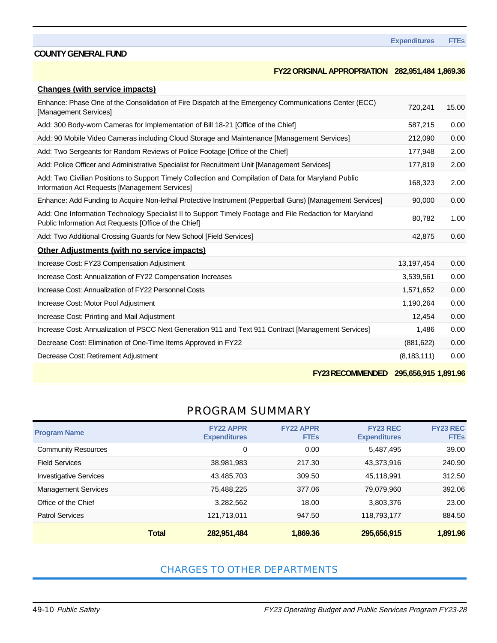#### **COUNTY GENERAL FUND**

#### **FY22 ORIGINAL APPROPRIATION 282,951,484 1,869.36**

#### **Changes (with service impacts)**

| Enhance: Phase One of the Consolidation of Fire Dispatch at the Emergency Communications Center (ECC)<br>[Management Services]                                   | 720,241       | 15.00 |
|------------------------------------------------------------------------------------------------------------------------------------------------------------------|---------------|-------|
| Add: 300 Body-worn Cameras for Implementation of Bill 18-21 [Office of the Chief]                                                                                | 587,215       | 0.00  |
| Add: 90 Mobile Video Cameras including Cloud Storage and Maintenance [Management Services]                                                                       | 212,090       | 0.00  |
| Add: Two Sergeants for Random Reviews of Police Footage [Office of the Chief]                                                                                    | 177,948       | 2.00  |
| Add: Police Officer and Administrative Specialist for Recruitment Unit [Management Services]                                                                     | 177,819       | 2.00  |
| Add: Two Civilian Positions to Support Timely Collection and Compilation of Data for Maryland Public<br>Information Act Requests [Management Services]           | 168.323       | 2.00  |
| Enhance: Add Funding to Acquire Non-lethal Protective Instrument (Pepperball Guns) [Management Services]                                                         | 90,000        | 0.00  |
| Add: One Information Technology Specialist II to Support Timely Footage and File Redaction for Maryland<br>Public Information Act Requests [Office of the Chief] | 80.782        | 1.00  |
| Add: Two Additional Crossing Guards for New School [Field Services]                                                                                              | 42,875        | 0.60  |
| Other Adjustments (with no service impacts)                                                                                                                      |               |       |
| Increase Cost: FY23 Compensation Adjustment                                                                                                                      | 13,197,454    | 0.00  |
| Increase Cost: Annualization of FY22 Compensation Increases                                                                                                      | 3,539,561     | 0.00  |
| Increase Cost: Annualization of FY22 Personnel Costs                                                                                                             | 1,571,652     | 0.00  |
| Increase Cost: Motor Pool Adjustment                                                                                                                             | 1,190,264     | 0.00  |
| Increase Cost: Printing and Mail Adjustment                                                                                                                      | 12,454        | 0.00  |
| Increase Cost: Annualization of PSCC Next Generation 911 and Text 911 Contract [Management Services]                                                             | 1,486         | 0.00  |
| Decrease Cost: Elimination of One-Time Items Approved in FY22                                                                                                    | (881, 622)    | 0.00  |
| Decrease Cost: Retirement Adjustment                                                                                                                             | (8, 183, 111) | 0.00  |
|                                                                                                                                                                  |               |       |

**FY23 RECOMMENDED 295,656,915 1,891.96**

#### PROGRAM SUMMARY

| <b>Program Name</b>           |              | <b>FY22 APPR</b><br><b>Expenditures</b> | <b>FY22 APPR</b><br><b>FTEs</b> | <b>FY23 REC</b><br><b>Expenditures</b> | <b>FY23 REC</b><br><b>FTEs</b> |
|-------------------------------|--------------|-----------------------------------------|---------------------------------|----------------------------------------|--------------------------------|
| <b>Community Resources</b>    |              | 0                                       | 0.00                            | 5,487,495                              | 39.00                          |
| <b>Field Services</b>         |              | 38,981,983                              | 217.30                          | 43,373,916                             | 240.90                         |
| <b>Investigative Services</b> |              | 43,485,703                              | 309.50                          | 45,118,991                             | 312.50                         |
| <b>Management Services</b>    |              | 75,488,225                              | 377.06                          | 79,079,960                             | 392.06                         |
| Office of the Chief           |              | 3,282,562                               | 18.00                           | 3,803,376                              | 23.00                          |
| <b>Patrol Services</b>        |              | 121,713,011                             | 947.50                          | 118,793,177                            | 884.50                         |
|                               | <b>Total</b> | 282,951,484                             | 1,869.36                        | 295,656,915                            | 1.891.96                       |

#### CHARGES TO OTHER DEPARTMENTS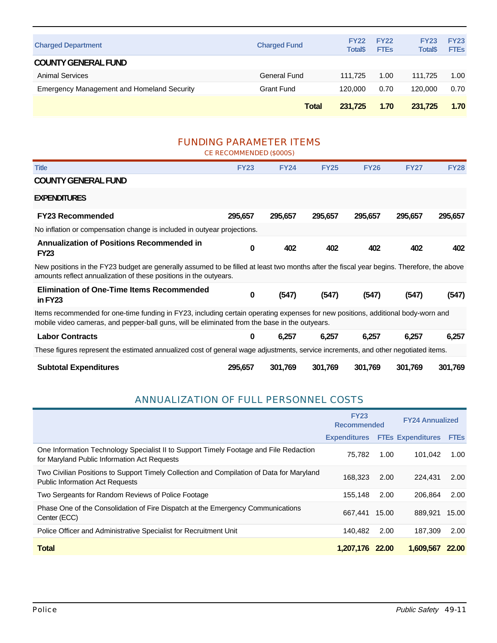| <b>Charged Department</b>                         | <b>Charged Fund</b> | <b>FY22</b><br><b>Total\$</b> | <b>FY22</b><br><b>FTEs</b> | <b>FY23</b><br><b>Total\$</b> | <b>FY23</b><br><b>FTEs</b> |
|---------------------------------------------------|---------------------|-------------------------------|----------------------------|-------------------------------|----------------------------|
| <b>COUNTY GENERAL FUND</b>                        |                     |                               |                            |                               |                            |
| Animal Services                                   | General Fund        | 111.725                       | 1.00                       | 111.725                       | 1.00                       |
| <b>Emergency Management and Homeland Security</b> | <b>Grant Fund</b>   | 120.000                       | 0.70                       | 120,000                       | 0.70                       |
|                                                   | <b>Total</b>        | 231.725                       | 1.70                       | 231.725                       | 1.70                       |

#### FUNDING PARAMETER ITEMS

|                                                                                                                                                                                                                                   | CE RECOMMENDED (\$000S) |             |             |             |             |             |
|-----------------------------------------------------------------------------------------------------------------------------------------------------------------------------------------------------------------------------------|-------------------------|-------------|-------------|-------------|-------------|-------------|
| <b>Title</b>                                                                                                                                                                                                                      | <b>FY23</b>             | <b>FY24</b> | <b>FY25</b> | <b>FY26</b> | <b>FY27</b> | <b>FY28</b> |
| <b>COUNTY GENERAL FUND</b>                                                                                                                                                                                                        |                         |             |             |             |             |             |
| <b>EXPENDITURES</b>                                                                                                                                                                                                               |                         |             |             |             |             |             |
| <b>FY23 Recommended</b>                                                                                                                                                                                                           | 295,657                 | 295,657     | 295,657     | 295,657     | 295,657     | 295,657     |
| No inflation or compensation change is included in outyear projections.                                                                                                                                                           |                         |             |             |             |             |             |
| <b>Annualization of Positions Recommended in</b><br><b>FY23</b>                                                                                                                                                                   | $\mathbf 0$             | 402         | 402         | 402         | 402         | 402         |
| New positions in the FY23 budget are generally assumed to be filled at least two months after the fiscal year begins. Therefore, the above<br>amounts reflect annualization of these positions in the outyears.                   |                         |             |             |             |             |             |
| <b>Elimination of One-Time Items Recommended</b><br>in $FY23$                                                                                                                                                                     | $\mathbf 0$             | (547)       | (547)       | (547)       | (547)       | (547)       |
| Items recommended for one-time funding in FY23, including certain operating expenses for new positions, additional body-worn and<br>mobile video cameras, and pepper-ball guns, will be eliminated from the base in the outyears. |                         |             |             |             |             |             |
| <b>Labor Contracts</b>                                                                                                                                                                                                            | $\mathbf 0$             | 6.257       | 6,257       | 6.257       | 6,257       | 6,257       |
| These figures represent the estimated annualized cost of general wage adjustments, service increments, and other negotiated items.                                                                                                |                         |             |             |             |             |             |
| <b>Subtotal Expenditures</b>                                                                                                                                                                                                      | 295,657                 | 301,769     | 301,769     | 301,769     | 301,769     | 301,769     |

### ANNUALIZATION OF FULL PERSONNEL COSTS

|                                                                                                                                       | <b>FY23</b><br><b>Recommended</b> |              | <b>FY24 Annualized</b>   |              |
|---------------------------------------------------------------------------------------------------------------------------------------|-----------------------------------|--------------|--------------------------|--------------|
|                                                                                                                                       | <b>Expenditures</b>               |              | <b>FTEs Expenditures</b> | <b>FTES</b>  |
| One Information Technology Specialist II to Support Timely Footage and File Redaction<br>for Maryland Public Information Act Requests | 75.782                            | 1.00         | 101.042                  | 1.00         |
| Two Civilian Positions to Support Timely Collection and Compilation of Data for Maryland<br><b>Public Information Act Requests</b>    | 168.323                           | 2.00         | 224.431                  | 2.00         |
| Two Sergeants for Random Reviews of Police Footage                                                                                    | 155.148                           | 2.00         | 206.864                  | 2.00         |
| Phase One of the Consolidation of Fire Dispatch at the Emergency Communications<br>Center (ECC)                                       | 667.441                           | 15.00        | 889.921                  | 15.00        |
| Police Officer and Administrative Specialist for Recruitment Unit                                                                     | 140.482                           | 2.00         | 187.309                  | 2.00         |
| <b>Total</b>                                                                                                                          | 1.207.176                         | <b>22.00</b> | 1.609.567                | <b>22.00</b> |